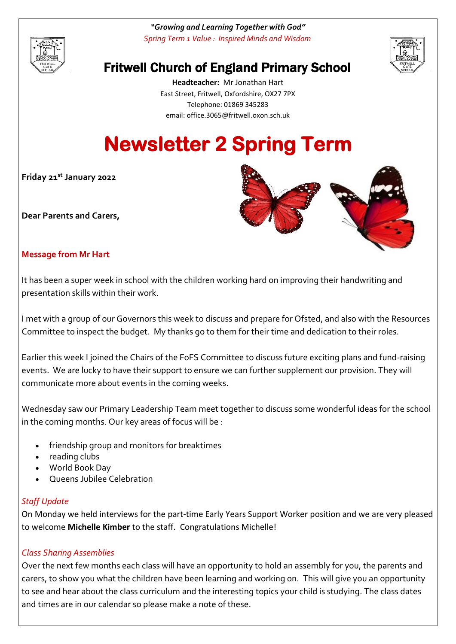

*"Growing and Learning Together with God" Spring Term 1 Value : Inspired Minds and Wisdom*



# Fritwell Church of England Primary School

**Headteacher:** Mr Jonathan Hart East Street, Fritwell, Oxfordshire, OX27 7PX Telephone: 01869 345283 [email: office.3065@f](mailto:email:%20office.3065@)ritwell.oxon.sch.uk

# **Newsletter 2 Spring Term**

**Friday 21st January 2022**

**Dear Parents and Carers,**



# **Message from Mr Hart**

It has been a super week in school with the children working hard on improving their handwriting and presentation skills within their work.

I met with a group of our Governors this week to discuss and prepare for Ofsted, and also with the Resources Committee to inspect the budget. My thanks go to them for their time and dedication to their roles.

Earlier this week I joined the Chairs of the FoFS Committee to discuss future exciting plans and fund-raising events. We are lucky to have their support to ensure we can further supplement our provision. They will communicate more about events in the coming weeks.

Wednesday saw our Primary Leadership Team meet together to discuss some wonderful ideas for the school in the coming months. Our key areas of focus will be :

- friendship group and monitors for breaktimes
- reading clubs
- World Book Day
- Queens Jubilee Celebration

#### *Staff Update*

On Monday we held interviews for the part-time Early Years Support Worker position and we are very pleased to welcome **Michelle Kimber** to the staff. Congratulations Michelle!

# *Class Sharing Assemblies*

Over the next few months each class will have an opportunity to hold an assembly for you, the parents and carers, to show you what the children have been learning and working on. This will give you an opportunity to see and hear about the class curriculum and the interesting topics your child is studying. The class dates and times are in our calendar so please make a note of these.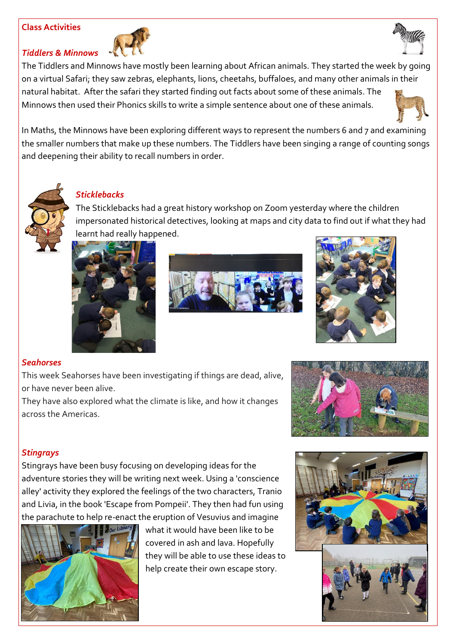#### **Class Activities**

*Tiddlers & Minnows*





The Tiddlers and Minnows have mostly been learning about African animals. They started the week by going on a virtual Safari; they saw zebras, elephants, lions, cheetahs, buffaloes, and many other animals in their natural habitat. After the safari they started finding out facts about some of these animals. The Minnows then used their Phonics skills to write a simple sentence about one of these animals.



In Maths, the Minnows have been exploring different ways to represent the numbers 6 and 7 and examining the smaller numbers that make up these numbers. The Tiddlers have been singing a range of counting songs and deepening their ability to recall numbers in order.



# *Sticklebacks*

The Sticklebacks had a great history workshop on Zoom yesterday where the children impersonated historical detectives, looking at maps and city data to find out if what they had learnt had really happened.







# *Seahorses*

This week Seahorses have been investigating if things are dead, alive, or have never been alive.

They have also explored what the climate is like, and how it changes across the Americas.



# *Stingrays*

Stingrays have been busy focusing on developing ideas for the adventure stories they will be writing next week. Using a 'conscience alley' activity they explored the feelings of the two characters, Tranio and Livia, in the book 'Escape from Pompeii'. They then had fun using the parachute to help re-enact the eruption of Vesuvius and imagine



what it would have been like to be covered in ash and lava. Hopefully they will be able to use these ideas to help create their own escape story.

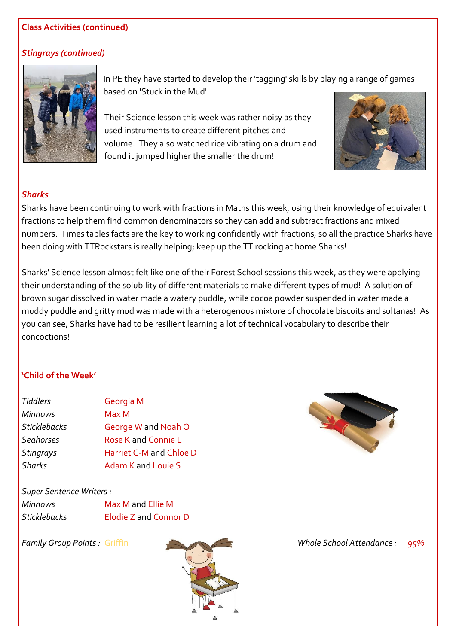#### **Class Activities (continued)**

#### *Stingrays (continued)*



In PE they have started to develop their 'tagging' skills by playing a range of games based on 'Stuck in the Mud'.

Their Science lesson this week was rather noisy as they used instruments to create different pitches and volume. They also watched rice vibrating on a drum and found it jumped higher the smaller the drum!



#### *Sharks*

Sharks have been continuing to work with fractions in Maths this week, using their knowledge of equivalent fractions to help them find common denominators so they can add and subtract fractions and mixed numbers. Times tables facts are the key to working confidently with fractions, so all the practice Sharks have been doing with TTRockstars is really helping; keep up the TT rocking at home Sharks!

Sharks' Science lesson almost felt like one of their Forest School sessions this week, as they were applying their understanding of the solubility of different materials to make different types of mud! A solution of brown sugar dissolved in water made a watery puddle, while cocoa powder suspended in water made a muddy puddle and gritty mud was made with a heterogenous mixture of chocolate biscuits and sultanas! As you can see, Sharks have had to be resilient learning a lot of technical vocabulary to describe their concoctions!

# **'Child of the Week'**

| <b>Tiddlers</b>     | Georgia M               |
|---------------------|-------------------------|
| <b>Minnows</b>      | Max M                   |
| <b>Sticklebacks</b> | George W and Noah O     |
| <b>Seahorses</b>    | Rose K and Connie L     |
| <b>Stingrays</b>    | Harriet C-M and Chloe D |
| <b>Sharks</b>       | Adam K and Louie S      |

*Super Sentence Writers :*

| Minnows             | Max M and Ellie M     |
|---------------------|-----------------------|
| <b>Sticklebacks</b> | Elodie Z and Connor D |





*Family Group Points :* Griffin *Whole School Attendance : 95%*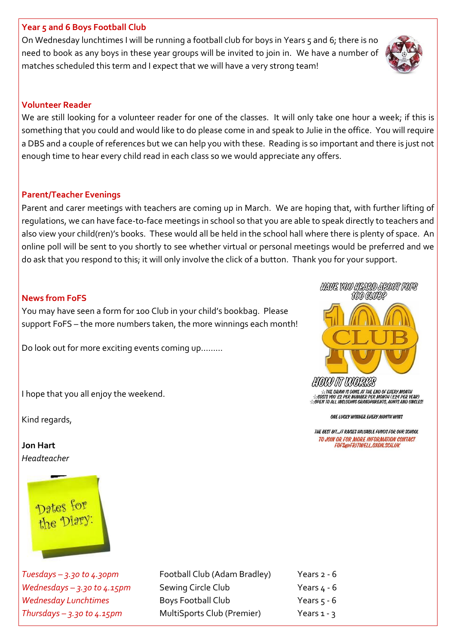#### **Year 5 and 6 Boys Football Club**

On Wednesday lunchtimes I will be running a football club for boys in Years 5 and 6; there is no need to book as any boys in these year groups will be invited to join in. We have a number of matches scheduled this term and I expect that we will have a very strong team!

# **Volunteer Reader**

We are still looking for a volunteer reader for one of the classes. It will only take one hour a week; if this is something that you could and would like to do please come in and speak to Julie in the office. You will require a DBS and a couple of references but we can help you with these. Reading is so important and there is just not enough time to hear every child read in each class so we would appreciate any offers.

# **Parent/Teacher Evenings**

Parent and carer meetings with teachers are coming up in March. We are hoping that, with further lifting of regulations, we can have face-to-face meetings in school so that you are able to speak directly to teachers and also view your child(ren)'s books. These would all be held in the school hall where there is plenty of space. An online poll will be sent to you shortly to see whether virtual or personal meetings would be preferred and we do ask that you respond to this; it will only involve the click of a button. Thank you for your support.

# **News from FoFS**

You may have seen a form for 100 Club in your child's bookbag. Please support FoFS – the more numbers taken, the more winnings each month!

Do look out for more exciting events coming up………

I hope that you all enjoy the weekend.

Kind regards,

**Jon Hart** *Headteacher*



*Tuesdays – 3.30 to 4.30pm* Football Club (Adam Bradley) Years 2 - 6 *Wednesdays – 3.30 to 4.15pm* Sewing Circle Club Years 4 - 6 *Wednesday Lunchtimes* Boys Football Club Years 5 - 6 *Thursdays – 3.30 to 4.15pm* MultiSports Club (Premier) Years 1 - 3





**ATHE DRAW IS DONE AT THE END OF EVERY MONTH** COSTS YOU E2 PER NUMBER PER MONTH (E24 PER YEAR)<br>TOPEN TO ALL INCLUDING GRANDPARENTS, AUNTS AND UNCLES!

ONE LUCKY WINNER EVERY MONTH WINS

THE BEST BIT ... IT RAISES VALUABLE FUNDS FOR OUR SCHOOL TO JOIN OR FOR MORE INFORMATION CONTACT FOFS@FRITWELL.OXON.SCH.UK